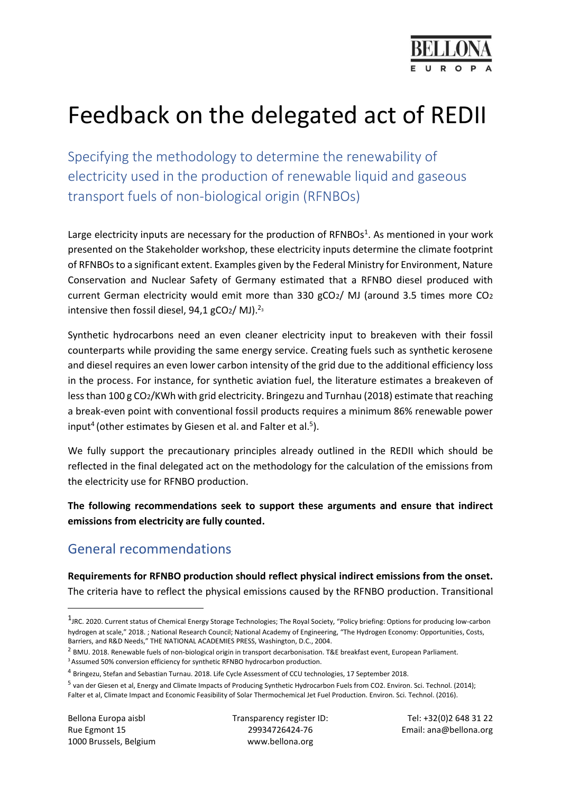

# Feedback on the delegated act of REDII

Specifying the methodology to determine the renewability of electricity used in the production of renewable liquid and gaseous transport fuels of non-biological origin (RFNBOs)

Large electricity inputs are necessary for the production of RFNBOs<sup>1</sup>. As mentioned in your work presented on the Stakeholder workshop, these electricity inputs determine the climate footprint of RFNBOs to a significant extent. Examples given by the Federal Ministry for Environment, Nature Conservation and Nuclear Safety of Germany estimated that a RFNBO diesel produced with current German electricity would emit more than 330 gCO2/ MJ (around 3.5 times more CO<sup>2</sup> intensive then fossil diesel,  $94,1$  gCO<sub>2</sub>/ MJ).<sup>23</sup>

Synthetic hydrocarbons need an even cleaner electricity input to breakeven with their fossil counterparts while providing the same energy service. Creating fuels such as synthetic kerosene and diesel requires an even lower carbon intensity of the grid due to the additional efficiency loss in the process. For instance, for synthetic aviation fuel, the literature estimates a breakeven of less than 100 g CO2/KWh with grid electricity. Bringezu and Turnhau (2018) estimate that reaching a break-even point with conventional fossil products requires a minimum 86% renewable power input<sup>4</sup> (other estimates by Giesen et al. and Falter et al.<sup>5</sup>).

We fully support the precautionary principles already outlined in the REDII which should be reflected in the final delegated act on the methodology for the calculation of the emissions from the electricity use for RFNBO production.

**The following recommendations seek to support these arguments and ensure that indirect emissions from electricity are fully counted.** 

## General recommendations

**Requirements for RFNBO production should reflect physical indirect emissions from the onset.**  The criteria have to reflect the physical emissions caused by the RFNBO production. Transitional

<sup>2</sup> BMU. 2018. Renewable fuels of non-biological origin in transport decarbonisation. T&E breakfast event, European Parliament.

1000 Brussels, Belgium www.bellona.org

**.** 

Bellona Europa aisbl Transparency register ID: Tel: +32(0)2 648 31 22 Rue Egmont 15 29934726424-76 Email: ana@bellona.org

<sup>&</sup>lt;sup>1</sup>JRC. 2020. Current status of Chemical Energy Storage Technologies; The Royal Society, "Policy briefing: Options for producing low-carbon hydrogen at scale," 2018. ; National Research Council; National Academy of Engineering, "The Hydrogen Economy: Opportunities, Costs, Barriers, and R&D Needs," THE NATIONAL ACADEMIES PRESS, Washington, D.C., 2004.

<sup>&</sup>lt;sup>3</sup> Assumed 50% conversion efficiency for synthetic RFNBO hydrocarbon production.

<sup>&</sup>lt;sup>4</sup> Bringezu, Stefan and Sebastian Turnau. 2018. Life Cycle Assessment of CCU technologies, 17 September 2018.

<sup>&</sup>lt;sup>5</sup> van der Giesen et al, Energy and Climate Impacts of Producing Synthetic Hydrocarbon Fuels from CO2. Environ. Sci. Technol. (2014); Falter et al, Climate Impact and Economic Feasibility of Solar Thermochemical Jet Fuel Production. Environ. Sci. Technol. (2016).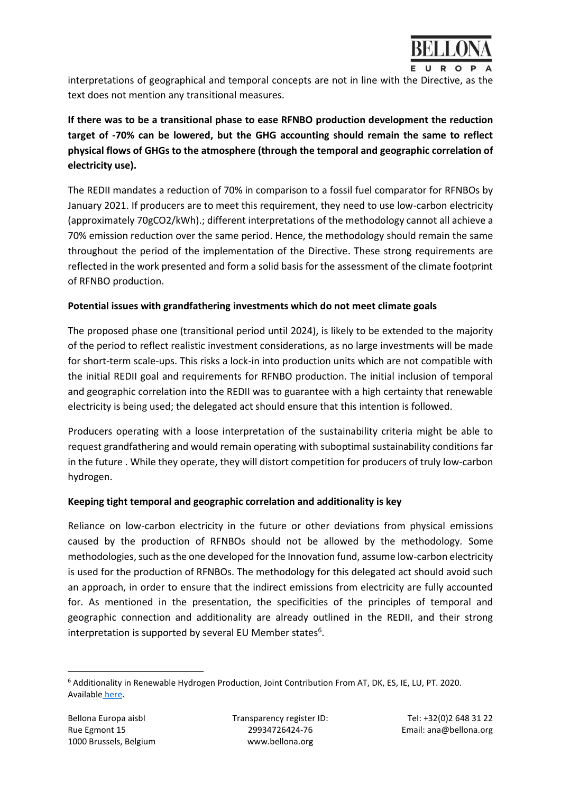

interpretations of geographical and temporal concepts are not in line with the Directive, as the text does not mention any transitional measures.

**If there was to be a transitional phase to ease RFNBO production development the reduction target of -70% can be lowered, but the GHG accounting should remain the same to reflect physical flows of GHGs to the atmosphere (through the temporal and geographic correlation of electricity use).** 

The REDII mandates a reduction of 70% in comparison to a fossil fuel comparator for RFNBOs by January 2021. If producers are to meet this requirement, they need to use low-carbon electricity (approximately 70gCO2/kWh).; different interpretations of the methodology cannot all achieve a 70% emission reduction over the same period. Hence, the methodology should remain the same throughout the period of the implementation of the Directive. These strong requirements are reflected in the work presented and form a solid basis for the assessment of the climate footprint of RFNBO production.

#### **Potential issues with grandfathering investments which do not meet climate goals**

The proposed phase one (transitional period until 2024), is likely to be extended to the majority of the period to reflect realistic investment considerations, as no large investments will be made for short-term scale-ups. This risks a lock-in into production units which are not compatible with the initial REDII goal and requirements for RFNBO production. The initial inclusion of temporal and geographic correlation into the REDII was to guarantee with a high certainty that renewable electricity is being used; the delegated act should ensure that this intention is followed.

Producers operating with a loose interpretation of the sustainability criteria might be able to request grandfathering and would remain operating with suboptimal sustainability conditions far in the future . While they operate, they will distort competition for producers of truly low-carbon hydrogen.

#### **Keeping tight temporal and geographic correlation and additionality is key**

Reliance on low-carbon electricity in the future or other deviations from physical emissions caused by the production of RFNBOs should not be allowed by the methodology. Some methodologies, such as the one developed for the Innovation fund, assume low-carbon electricity is used for the production of RFNBOs. The methodology for this delegated act should avoid such an approach, in order to ensure that the indirect emissions from electricity are fully accounted for. As mentioned in the presentation, the specificities of the principles of temporal and geographic connection and additionality are already outlined in the REDII, and their strong interpretation is supported by several EU Member states<sup>6</sup>.

**<sup>.</sup>** <sup>6</sup> Additionality in Renewable Hydrogen Production, Joint Contribution From AT, DK, ES, IE, LU, PT. 2020. Available [here.](https://www.politico.eu/wp-content/uploads/2020/11/2020-11-09-Additionality-in-renewable-hydrogen-production-AT-DK-ES-IE-LU-PT.pdf?utm_source=POLITICO.EU&utm_campaign=0316adec3d-EMAIL_CAMPAIGN_2020_11_12_05_59&utm_medium=email&utm_term=0_10959edeb5-0316adec3d-190548415)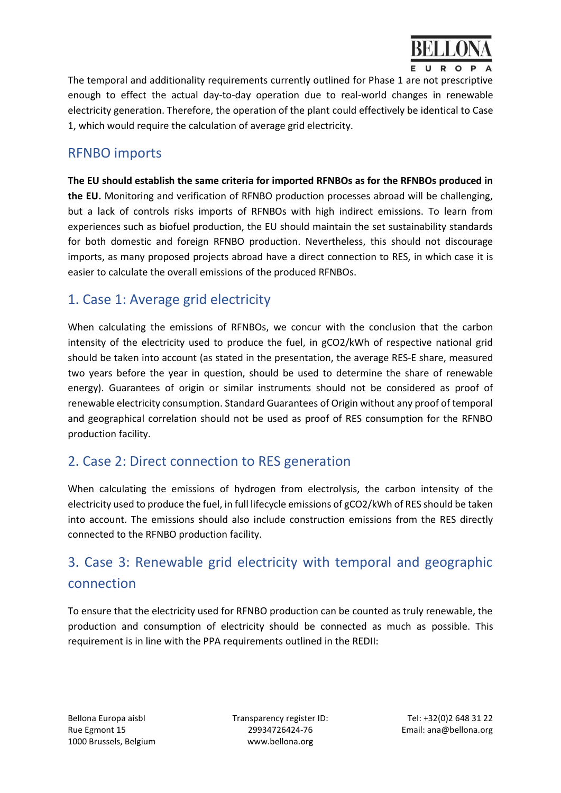

The temporal and additionality requirements currently outlined for Phase 1 are not prescriptive enough to effect the actual day-to-day operation due to real-world changes in renewable electricity generation. Therefore, the operation of the plant could effectively be identical to Case 1, which would require the calculation of average grid electricity.

### RFNBO imports

**The EU should establish the same criteria for imported RFNBOs as for the RFNBOs produced in the EU.** Monitoring and verification of RFNBO production processes abroad will be challenging, but a lack of controls risks imports of RFNBOs with high indirect emissions. To learn from experiences such as biofuel production, the EU should maintain the set sustainability standards for both domestic and foreign RFNBO production. Nevertheless, this should not discourage imports, as many proposed projects abroad have a direct connection to RES, in which case it is easier to calculate the overall emissions of the produced RFNBOs.

## 1. Case 1: Average grid electricity

When calculating the emissions of RFNBOs, we concur with the conclusion that the carbon intensity of the electricity used to produce the fuel, in gCO2/kWh of respective national grid should be taken into account (as stated in the presentation, the average RES-E share, measured two years before the year in question, should be used to determine the share of renewable energy). Guarantees of origin or similar instruments should not be considered as proof of renewable electricity consumption. Standard Guarantees of Origin without any proof of temporal and geographical correlation should not be used as proof of RES consumption for the RFNBO production facility.

## 2. Case 2: Direct connection to RES generation

When calculating the emissions of hydrogen from electrolysis, the carbon intensity of the electricity used to produce the fuel, in full lifecycle emissions of gCO2/kWh of RES should be taken into account. The emissions should also include construction emissions from the RES directly connected to the RFNBO production facility.

## 3. Case 3: Renewable grid electricity with temporal and geographic connection

To ensure that the electricity used for RFNBO production can be counted as truly renewable, the production and consumption of electricity should be connected as much as possible. This requirement is in line with the PPA requirements outlined in the REDII:

Bellona Europa aisbl Transparency register ID: Tel: +32(0)2 648 31 22 Rue Egmont 15 29934726424-76 Email: ana@bellona.org